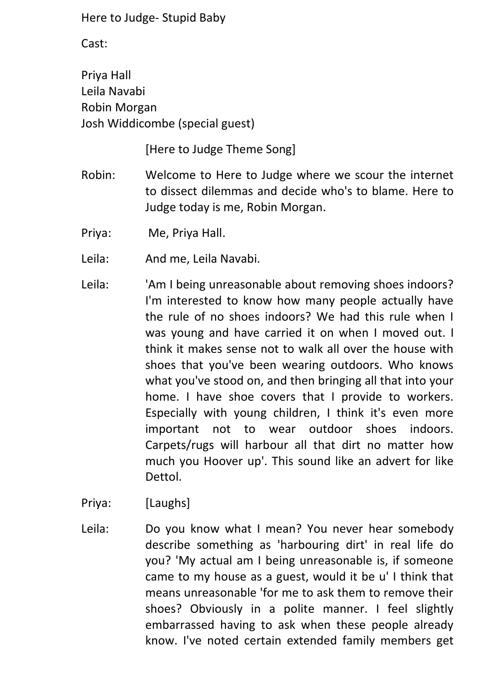Cast:

Priya Hall Leila Navabi Robin Morgan Josh Widdicombe (special guest)

[Here to Judge Theme Song]

- Robin: Welcome to Here to Judge where we scour the internet to dissect dilemmas and decide who's to blame. Here to Judge today is me, Robin Morgan.
- Priya: Me, Priya Hall.
- Leila: And me, Leila Navabi.
- Leila: 'Am I being unreasonable about removing shoes indoors? I'm interested to know how many people actually have the rule of no shoes indoors? We had this rule when I was young and have carried it on when I moved out. I think it makes sense not to walk all over the house with shoes that you've been wearing outdoors. Who knows what you've stood on, and then bringing all that into your home. I have shoe covers that I provide to workers. Especially with young children, I think it's even more important not to wear outdoor shoes indoors. Carpets/rugs will harbour all that dirt no matter how much you Hoover up'. This sound like an advert for like Dettol.
- Priya: [Laughs]
- Leila: Do you know what I mean? You never hear somebody describe something as 'harbouring dirt' in real life do you? 'My actual am I being unreasonable is, if someone came to my house as a guest, would it be u' I think that means unreasonable 'for me to ask them to remove their shoes? Obviously in a polite manner. I feel slightly embarrassed having to ask when these people already know. I've noted certain extended family members get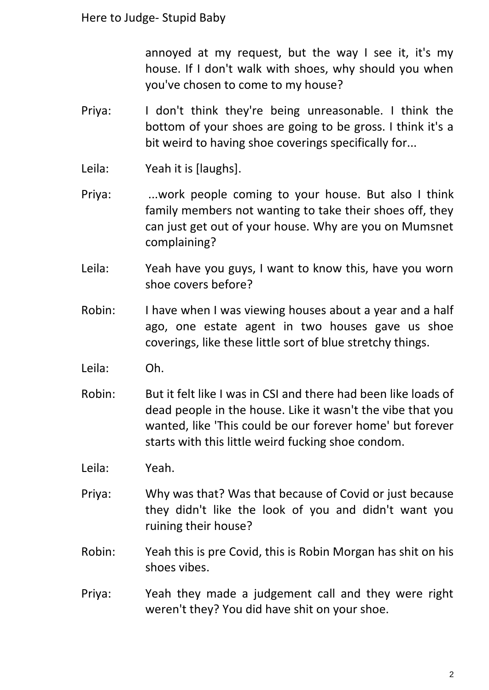annoyed at my request, but the way I see it, it's my house. If I don't walk with shoes, why should you when you've chosen to come to my house?

- Priya: I don't think they're being unreasonable. I think the bottom of your shoes are going to be gross. I think it's a bit weird to having shoe coverings specifically for...
- Leila: Yeah it is [laughs].
- Priya: ...work people coming to your house. But also I think family members not wanting to take their shoes off, they can just get out of your house. Why are you on Mumsnet complaining?
- Leila: Yeah have you guys, I want to know this, have you worn shoe covers before?
- Robin: I have when I was viewing houses about a year and a half ago, one estate agent in two houses gave us shoe coverings, like these little sort of blue stretchy things.
- Leila: Oh.
- Robin: But it felt like I was in CSI and there had been like loads of dead people in the house. Like it wasn't the vibe that you wanted, like 'This could be our forever home' but forever starts with this little weird fucking shoe condom.
- Leila: Yeah.
- Priya: Why was that? Was that because of Covid or just because they didn't like the look of you and didn't want you ruining their house?
- Robin: Yeah this is pre Covid, this is Robin Morgan has shit on his shoes vibes.
- Priya: Yeah they made a judgement call and they were right weren't they? You did have shit on your shoe.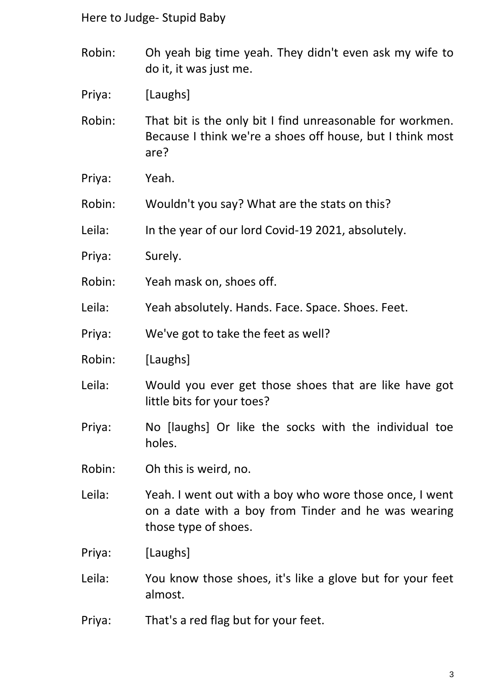- Robin: Oh yeah big time yeah. They didn't even ask my wife to do it, it was just me.
- Priya: [Laughs]

Robin: That bit is the only bit I find unreasonable for workmen. Because I think we're a shoes off house, but I think most are?

- Priya: Yeah.
- Robin: Wouldn't you say? What are the stats on this?
- Leila: In the year of our lord Covid-19 2021, absolutely.
- Priya: Surely.
- Robin: Yeah mask on, shoes off.
- Leila: Yeah absolutely. Hands. Face. Space. Shoes. Feet.
- Priya: We've got to take the feet as well?
- Robin: [Laughs]
- Leila: Would you ever get those shoes that are like have got little bits for your toes?
- Priya: No [laughs] Or like the socks with the individual toe holes.
- Robin: Oh this is weird, no.
- Leila: Yeah. I went out with a boy who wore those once, I went on a date with a boy from Tinder and he was wearing those type of shoes.
- Priya: [Laughs]
- Leila: You know those shoes, it's like a glove but for your feet almost.
- Priya: That's a red flag but for your feet.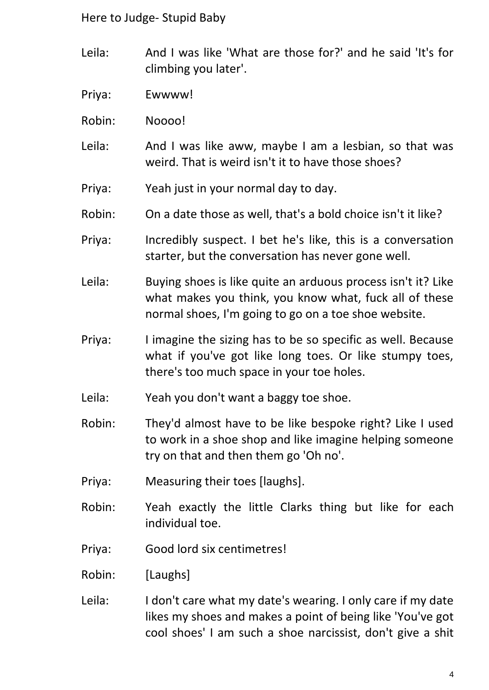- Leila: And I was like 'What are those for?' and he said 'It's for climbing you later'.
- Priya: Ewwww!
- Robin: Noooo!
- Leila: And I was like aww, maybe I am a lesbian, so that was weird. That is weird isn't it to have those shoes?
- Priya: Yeah just in your normal day to day.
- Robin: On a date those as well, that's a bold choice isn't it like?
- Priya: Incredibly suspect. I bet he's like, this is a conversation starter, but the conversation has never gone well.
- Leila: Buying shoes is like quite an arduous process isn't it? Like what makes you think, you know what, fuck all of these normal shoes, I'm going to go on a toe shoe website.
- Priya: I imagine the sizing has to be so specific as well. Because what if you've got like long toes. Or like stumpy toes, there's too much space in your toe holes.
- Leila: Yeah you don't want a baggy toe shoe.
- Robin: They'd almost have to be like bespoke right? Like I used to work in a shoe shop and like imagine helping someone try on that and then them go 'Oh no'.
- Priya: Measuring their toes [laughs].
- Robin: Yeah exactly the little Clarks thing but like for each individual toe.
- Priya: Good lord six centimetres!
- Robin: [Laughs]
- Leila: I don't care what my date's wearing. I only care if my date likes my shoes and makes a point of being like 'You've got cool shoes' I am such a shoe narcissist, don't give a shit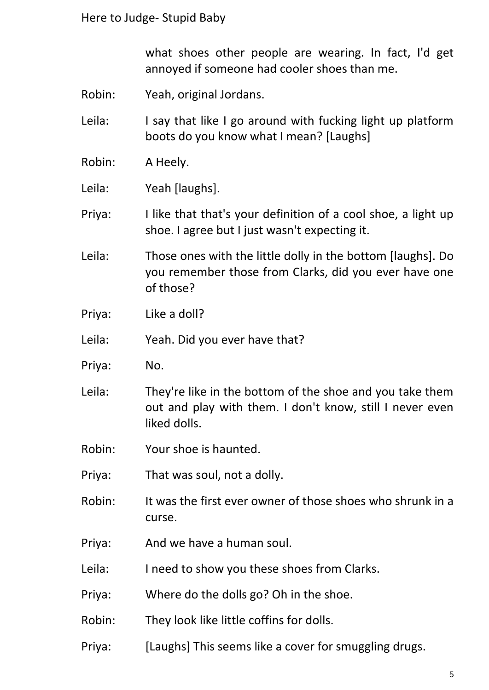what shoes other people are wearing. In fact, I'd get annoyed if someone had cooler shoes than me.

Robin: Yeah, original Jordans.

Leila: I say that like I go around with fucking light up platform boots do you know what I mean? [Laughs]

- Robin: A Heely.
- Leila: Yeah [laughs].

Priya: I like that that's your definition of a cool shoe, a light up shoe. I agree but I just wasn't expecting it.

Leila: Those ones with the little dolly in the bottom [laughs]. Do you remember those from Clarks, did you ever have one of those?

Priya: Like a doll?

Leila: Yeah. Did you ever have that?

- Priya: No.
- Leila: They're like in the bottom of the shoe and you take them out and play with them. I don't know, still I never even liked dolls.
- Robin: Your shoe is haunted.
- Priya: That was soul, not a dolly.
- Robin: It was the first ever owner of those shoes who shrunk in a curse.
- Priya: And we have a human soul.
- Leila: I need to show you these shoes from Clarks.
- Priya: Where do the dolls go? Oh in the shoe.
- Robin: They look like little coffins for dolls.
- Priya: [Laughs] This seems like a cover for smuggling drugs.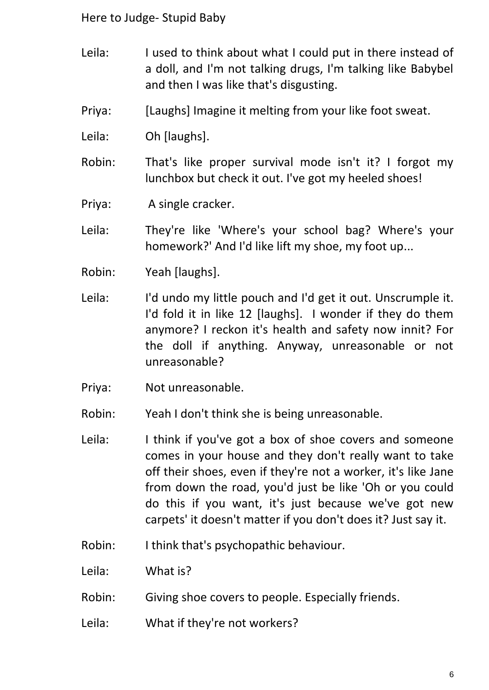- Leila: I used to think about what I could put in there instead of a doll, and I'm not talking drugs, I'm talking like Babybel and then I was like that's disgusting.
- Priya: [Laughs] Imagine it melting from your like foot sweat.
- Leila: Oh [laughs].
- Robin: That's like proper survival mode isn't it? I forgot my lunchbox but check it out. I've got my heeled shoes!
- Priya: A single cracker.
- Leila: They're like 'Where's your school bag? Where's your homework?' And I'd like lift my shoe, my foot up...
- Robin: Yeah [laughs].
- Leila: I'd undo my little pouch and I'd get it out. Unscrumple it. I'd fold it in like 12 [laughs]. I wonder if they do them anymore? I reckon it's health and safety now innit? For the doll if anything. Anyway, unreasonable or not unreasonable?
- Priya: Not unreasonable.
- Robin: Yeah I don't think she is being unreasonable.
- Leila: I think if you've got a box of shoe covers and someone comes in your house and they don't really want to take off their shoes, even if they're not a worker, it's like Jane from down the road, you'd just be like 'Oh or you could do this if you want, it's just because we've got new carpets' it doesn't matter if you don't does it? Just say it.
- Robin: I think that's psychopathic behaviour.
- Leila: What is?
- Robin: Giving shoe covers to people. Especially friends.
- Leila: What if they're not workers?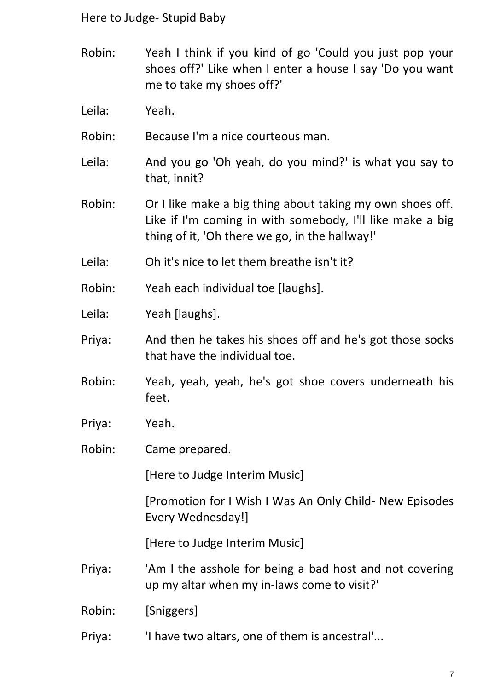- Robin: Yeah I think if you kind of go 'Could you just pop your shoes off?' Like when I enter a house I say 'Do you want me to take my shoes off?'
- Leila: Yeah.
- Robin: Because I'm a nice courteous man.
- Leila: And you go 'Oh yeah, do you mind?' is what you say to that, innit?
- Robin: Or I like make a big thing about taking my own shoes off. Like if I'm coming in with somebody, I'll like make a big thing of it, 'Oh there we go, in the hallway!'
- Leila: Oh it's nice to let them breathe isn't it?
- Robin: Yeah each individual toe [laughs].
- Leila: Yeah [laughs].
- Priya: And then he takes his shoes off and he's got those socks that have the individual toe.
- Robin: Yeah, yeah, yeah, he's got shoe covers underneath his feet.
- Priya: Yeah.
- Robin: Came prepared.

[Here to Judge Interim Music]

[Promotion for I Wish I Was An Only Child- New Episodes Every Wednesday!]

[Here to Judge Interim Music]

- Priya: 'Am I the asshole for being a bad host and not covering up my altar when my in-laws come to visit?'
- Robin: [Sniggers]
- Priya: 'I have two altars, one of them is ancestral'...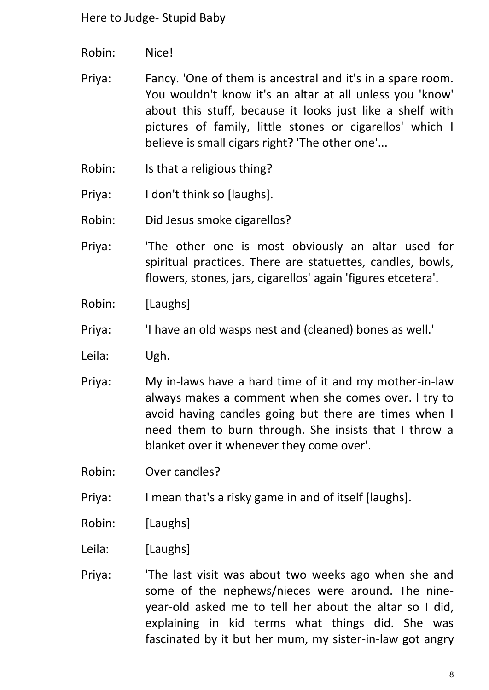- Robin: Nice!
- Priya: Fancy. 'One of them is ancestral and it's in a spare room. You wouldn't know it's an altar at all unless you 'know' about this stuff, because it looks just like a shelf with pictures of family, little stones or cigarellos' which I believe is small cigars right? 'The other one'...
- Robin: Is that a religious thing?
- Priya: I don't think so [laughs].
- Robin: Did Jesus smoke cigarellos?
- Priya: 'The other one is most obviously an altar used for spiritual practices. There are statuettes, candles, bowls, flowers, stones, jars, cigarellos' again 'figures etcetera'.
- Robin: [Laughs]
- Priya: 'I have an old wasps nest and (cleaned) bones as well.'
- Leila: Ugh.
- Priya: My in-laws have a hard time of it and my mother-in-law always makes a comment when she comes over. I try to avoid having candles going but there are times when I need them to burn through. She insists that I throw a blanket over it whenever they come over'.
- Robin: Over candles?
- Priya: I mean that's a risky game in and of itself [laughs].
- Robin: [Laughs]
- Leila: [Laughs]
- Priya: 'The last visit was about two weeks ago when she and some of the nephews/nieces were around. The nineyear-old asked me to tell her about the altar so I did, explaining in kid terms what things did. She was fascinated by it but her mum, my sister-in-law got angry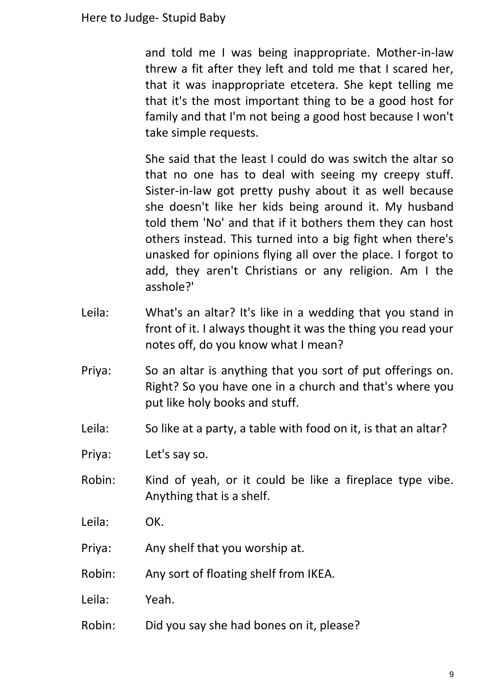and told me I was being inappropriate. Mother-in-law threw a fit after they left and told me that I scared her, that it was inappropriate etcetera. She kept telling me that it's the most important thing to be a good host for family and that I'm not being a good host because I won't take simple requests.

She said that the least I could do was switch the altar so that no one has to deal with seeing my creepy stuff. Sister-in-law got pretty pushy about it as well because she doesn't like her kids being around it. My husband told them 'No' and that if it bothers them they can host others instead. This turned into a big fight when there's unasked for opinions flying all over the place. I forgot to add, they aren't Christians or any religion. Am I the asshole?'

- Leila: What's an altar? It's like in a wedding that you stand in front of it. I always thought it was the thing you read your notes off, do you know what I mean?
- Priya: So an altar is anything that you sort of put offerings on. Right? So you have one in a church and that's where you put like holy books and stuff.
- Leila: So like at a party, a table with food on it, is that an altar?
- Priya: Let's say so.
- Robin: Kind of yeah, or it could be like a fireplace type vibe. Anything that is a shelf.
- Leila: OK.
- Priya: Any shelf that you worship at.
- Robin: Any sort of floating shelf from IKEA.
- Leila: Yeah.
- Robin: Did you say she had bones on it, please?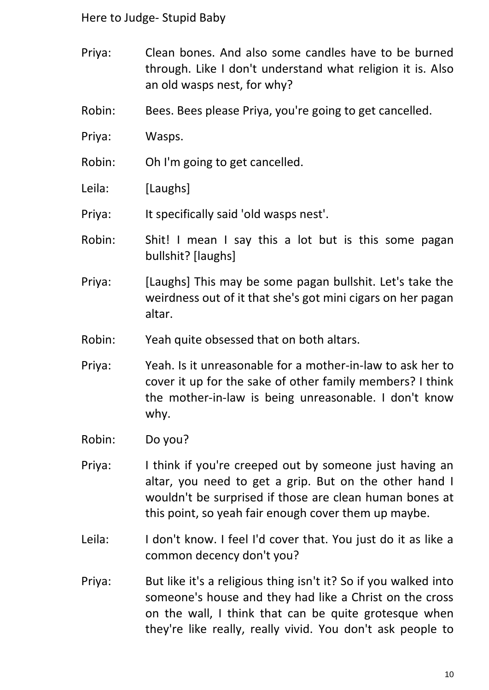- Priya: Clean bones. And also some candles have to be burned through. Like I don't understand what religion it is. Also an old wasps nest, for why?
- Robin: Bees. Bees please Priya, you're going to get cancelled.
- Priya: Wasps.
- Robin: Oh I'm going to get cancelled.
- Leila: [Laughs]

Priya: It specifically said 'old wasps nest'.

- Robin: Shit! I mean I say this a lot but is this some pagan bullshit? [laughs]
- Priya: [Laughs] This may be some pagan bullshit. Let's take the weirdness out of it that she's got mini cigars on her pagan altar.
- Robin: Yeah quite obsessed that on both altars.
- Priya: Yeah. Is it unreasonable for a mother-in-law to ask her to cover it up for the sake of other family members? I think the mother-in-law is being unreasonable. I don't know why.
- Robin: Do you?
- Priya: I think if you're creeped out by someone just having an altar, you need to get a grip. But on the other hand I wouldn't be surprised if those are clean human bones at this point, so yeah fair enough cover them up maybe.
- Leila: I don't know. I feel I'd cover that. You just do it as like a common decency don't you?
- Priya: But like it's a religious thing isn't it? So if you walked into someone's house and they had like a Christ on the cross on the wall, I think that can be quite grotesque when they're like really, really vivid. You don't ask people to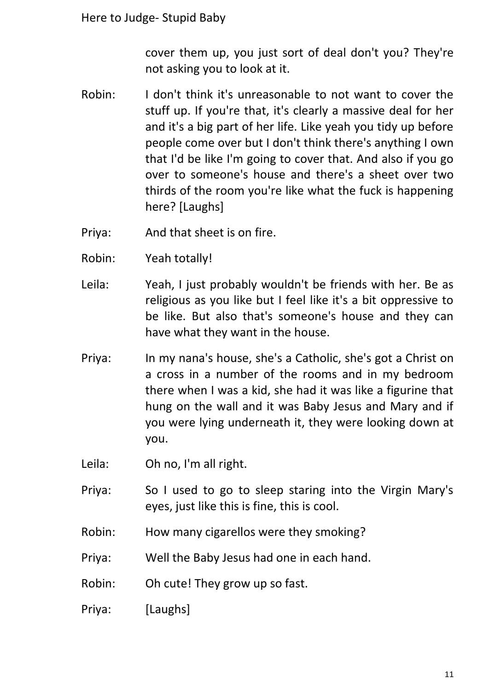cover them up, you just sort of deal don't you? They're not asking you to look at it.

- Robin: I don't think it's unreasonable to not want to cover the stuff up. If you're that, it's clearly a massive deal for her and it's a big part of her life. Like yeah you tidy up before people come over but I don't think there's anything I own that I'd be like I'm going to cover that. And also if you go over to someone's house and there's a sheet over two thirds of the room you're like what the fuck is happening here? [Laughs]
- Priya: And that sheet is on fire.
- Robin: Yeah totally!
- Leila: Yeah, I just probably wouldn't be friends with her. Be as religious as you like but I feel like it's a bit oppressive to be like. But also that's someone's house and they can have what they want in the house.
- Priya: In my nana's house, she's a Catholic, she's got a Christ on a cross in a number of the rooms and in my bedroom there when I was a kid, she had it was like a figurine that hung on the wall and it was Baby Jesus and Mary and if you were lying underneath it, they were looking down at you.
- Leila: Oh no, I'm all right.
- Priya: So I used to go to sleep staring into the Virgin Mary's eyes, just like this is fine, this is cool.
- Robin: How many cigarellos were they smoking?
- Priya: Well the Baby Jesus had one in each hand.
- Robin: Oh cute! They grow up so fast.
- Priya: [Laughs]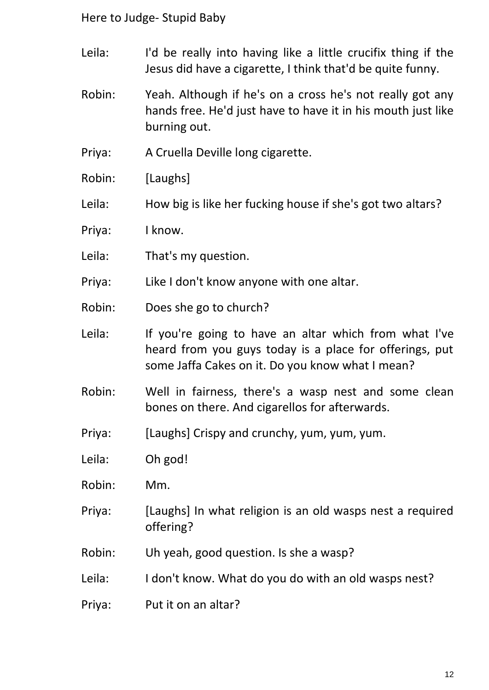- Leila: I'd be really into having like a little crucifix thing if the Jesus did have a cigarette, I think that'd be quite funny.
- Robin: Yeah. Although if he's on a cross he's not really got any hands free. He'd just have to have it in his mouth just like burning out.
- Priya: A Cruella Deville long cigarette.
- Robin: [Laughs]
- Leila: How big is like her fucking house if she's got two altars?
- Priya: I know.
- Leila: That's my question.
- Priya: Like I don't know anyone with one altar.
- Robin: Does she go to church?
- Leila: If you're going to have an altar which from what I've heard from you guys today is a place for offerings, put some Jaffa Cakes on it. Do you know what I mean?
- Robin: Well in fairness, there's a wasp nest and some clean bones on there. And cigarellos for afterwards.
- Priya: [Laughs] Crispy and crunchy, yum, yum, yum.
- Leila: Oh god!
- Robin: Mm.
- Priya: [Laughs] In what religion is an old wasps nest a required offering?
- Robin: Uh yeah, good question. Is she a wasp?
- Leila: I don't know. What do you do with an old wasps nest?
- Priya: Put it on an altar?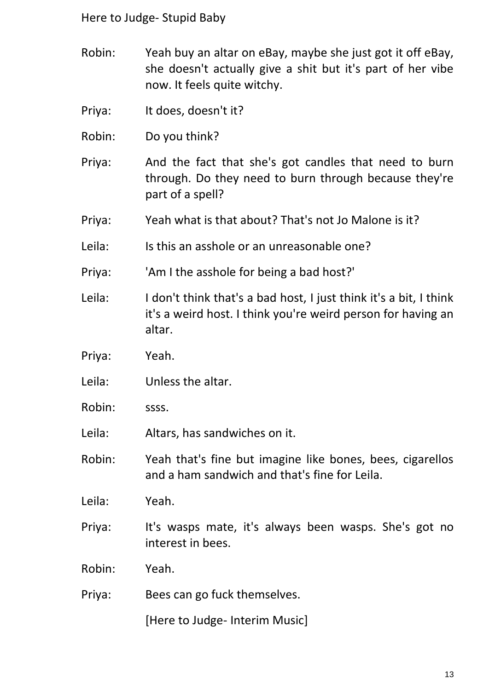- Robin: Yeah buy an altar on eBay, maybe she just got it off eBay, she doesn't actually give a shit but it's part of her vibe now. It feels quite witchy.
- Priya: It does, doesn't it?
- Robin: Do you think?
- Priya: And the fact that she's got candles that need to burn through. Do they need to burn through because they're part of a spell?
- Priya: Yeah what is that about? That's not Jo Malone is it?
- Leila: Is this an asshole or an unreasonable one?
- Priya: 'Am I the asshole for being a bad host?'
- Leila: I don't think that's a bad host, I just think it's a bit, I think it's a weird host. I think you're weird person for having an altar.
- Priya: Yeah.
- Leila: Unless the altar.
- Robin: ssss.
- Leila: Altars, has sandwiches on it.
- Robin: Yeah that's fine but imagine like bones, bees, cigarellos and a ham sandwich and that's fine for Leila.
- Leila: Yeah.
- Priya: It's wasps mate, it's always been wasps. She's got no interest in bees.
- Robin: Yeah.
- Priya: Bees can go fuck themselves.

[Here to Judge- Interim Music]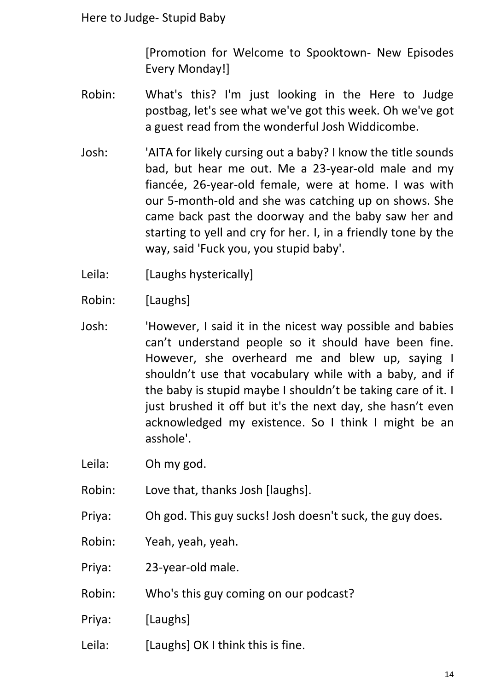[Promotion for Welcome to Spooktown- New Episodes Every Monday!]

- Robin: What's this? I'm just looking in the Here to Judge postbag, let's see what we've got this week. Oh we've got a guest read from the wonderful Josh Widdicombe.
- Josh: 'AITA for likely cursing out a baby? I know the title sounds bad, but hear me out. Me a 23-year-old male and my fiancée, 26-year-old female, were at home. I was with our 5-month-old and she was catching up on shows. She came back past the doorway and the baby saw her and starting to yell and cry for her. I, in a friendly tone by the way, said 'Fuck you, you stupid baby'.
- Leila: [Laughs hysterically]
- Robin: [Laughs]
- Josh: 'However, I said it in the nicest way possible and babies can't understand people so it should have been fine. However, she overheard me and blew up, saying I shouldn't use that vocabulary while with a baby, and if the baby is stupid maybe I shouldn't be taking care of it. I just brushed it off but it's the next day, she hasn't even acknowledged my existence. So I think I might be an asshole'.
- Leila: Oh my god.
- Robin: Love that, thanks Josh [laughs].
- Priya: Oh god. This guy sucks! Josh doesn't suck, the guy does.
- Robin: Yeah, yeah, yeah.
- Priya: 23-year-old male.
- Robin: Who's this guy coming on our podcast?
- Priya: [Laughs]
- Leila: [Laughs] OK I think this is fine.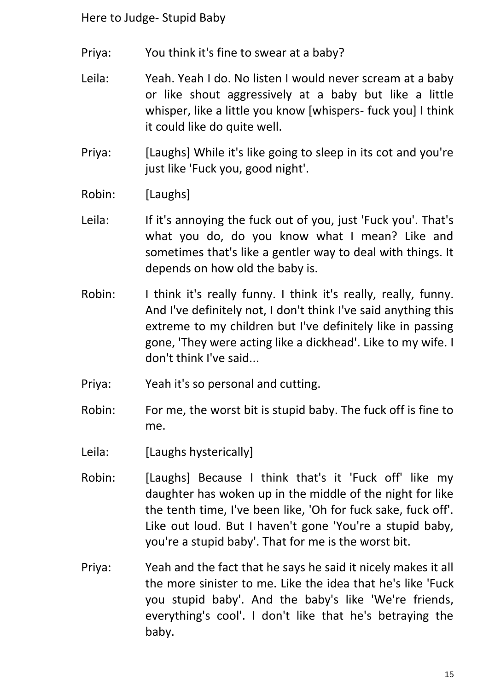- Priya: You think it's fine to swear at a baby?
- Leila: Yeah. Yeah I do. No listen I would never scream at a baby or like shout aggressively at a baby but like a little whisper, like a little you know [whispers- fuck you] I think it could like do quite well.
- Priya: [Laughs] While it's like going to sleep in its cot and you're just like 'Fuck you, good night'.
- Robin: [Laughs]
- Leila: If it's annoying the fuck out of you, just 'Fuck you'. That's what you do, do you know what I mean? Like and sometimes that's like a gentler way to deal with things. It depends on how old the baby is.
- Robin: I think it's really funny. I think it's really, really, funny. And I've definitely not, I don't think I've said anything this extreme to my children but I've definitely like in passing gone, 'They were acting like a dickhead'. Like to my wife. I don't think I've said...
- Priya: Yeah it's so personal and cutting.
- Robin: For me, the worst bit is stupid baby. The fuck off is fine to me.
- Leila: [Laughs hysterically]
- Robin: [Laughs] Because I think that's it 'Fuck off' like my daughter has woken up in the middle of the night for like the tenth time, I've been like, 'Oh for fuck sake, fuck off'. Like out loud. But I haven't gone 'You're a stupid baby, you're a stupid baby'. That for me is the worst bit.
- Priya: Yeah and the fact that he says he said it nicely makes it all the more sinister to me. Like the idea that he's like 'Fuck you stupid baby'. And the baby's like 'We're friends, everything's cool'. I don't like that he's betraying the baby.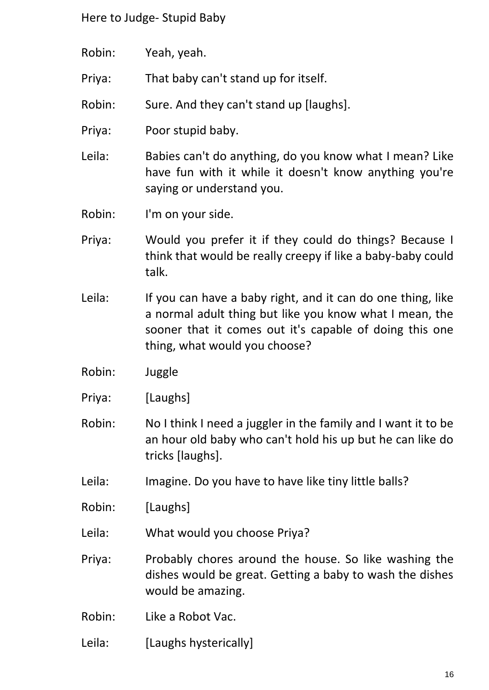- Robin: Yeah, yeah. Priya: That baby can't stand up for itself. Robin: Sure. And they can't stand up [laughs]. Priya: Poor stupid baby. Leila: Babies can't do anything, do you know what I mean? Like have fun with it while it doesn't know anything you're saying or understand you. Robin: I'm on your side. Priya: Would you prefer it if they could do things? Because I
- think that would be really creepy if like a baby-baby could talk.
- Leila: If you can have a baby right, and it can do one thing, like a normal adult thing but like you know what I mean, the sooner that it comes out it's capable of doing this one thing, what would you choose?
- Robin: Juggle
- Priya: [Laughs]
- Robin: No I think I need a juggler in the family and I want it to be an hour old baby who can't hold his up but he can like do tricks [laughs].
- Leila: Imagine. Do you have to have like tiny little balls?
- Robin: [Laughs]
- Leila: What would you choose Priya?
- Priya: Probably chores around the house. So like washing the dishes would be great. Getting a baby to wash the dishes would be amazing.
- Robin: Like a Robot Vac.
- Leila: [Laughs hysterically]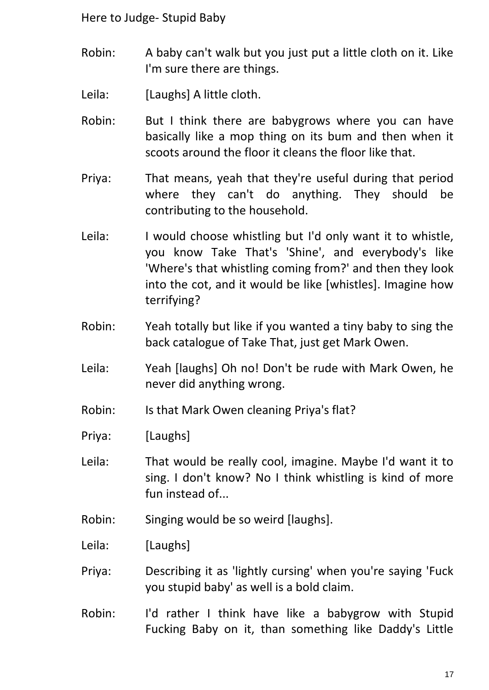- Robin: A baby can't walk but you just put a little cloth on it. Like I'm sure there are things.
- Leila: [Laughs] A little cloth.
- Robin: But I think there are babygrows where you can have basically like a mop thing on its bum and then when it scoots around the floor it cleans the floor like that.
- Priya: That means, yeah that they're useful during that period where they can't do anything. They should be contributing to the household.
- Leila: I would choose whistling but I'd only want it to whistle, you know Take That's 'Shine', and everybody's like 'Where's that whistling coming from?' and then they look into the cot, and it would be like [whistles]. Imagine how terrifying?
- Robin: Yeah totally but like if you wanted a tiny baby to sing the back catalogue of Take That, just get Mark Owen.
- Leila: Yeah [laughs] Oh no! Don't be rude with Mark Owen, he never did anything wrong.

Robin: Is that Mark Owen cleaning Priya's flat?

- Priya: [Laughs]
- Leila: That would be really cool, imagine. Maybe I'd want it to sing. I don't know? No I think whistling is kind of more fun instead of...
- Robin: Singing would be so weird [laughs].
- Leila: [Laughs]
- Priya: Describing it as 'lightly cursing' when you're saying 'Fuck you stupid baby' as well is a bold claim.
- Robin: I'd rather I think have like a babygrow with Stupid Fucking Baby on it, than something like Daddy's Little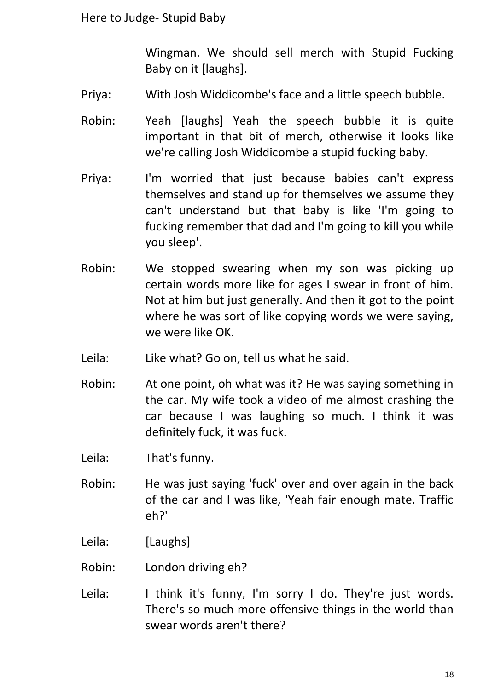Wingman. We should sell merch with Stupid Fucking Baby on it [laughs].

- Priya: With Josh Widdicombe's face and a little speech bubble.
- Robin: Yeah [laughs] Yeah the speech bubble it is quite important in that bit of merch, otherwise it looks like we're calling Josh Widdicombe a stupid fucking baby.
- Priya: I'm worried that just because babies can't express themselves and stand up for themselves we assume they can't understand but that baby is like 'I'm going to fucking remember that dad and I'm going to kill you while you sleep'.
- Robin: We stopped swearing when my son was picking up certain words more like for ages I swear in front of him. Not at him but just generally. And then it got to the point where he was sort of like copying words we were saying, we were like OK.
- Leila: Like what? Go on, tell us what he said.
- Robin: At one point, oh what was it? He was saying something in the car. My wife took a video of me almost crashing the car because I was laughing so much. I think it was definitely fuck, it was fuck.
- Leila: That's funny.
- Robin: He was just saying 'fuck' over and over again in the back of the car and I was like, 'Yeah fair enough mate. Traffic eh?'
- Leila: [Laughs]
- Robin: London driving eh?
- Leila: I think it's funny, I'm sorry I do. They're just words. There's so much more offensive things in the world than swear words aren't there?